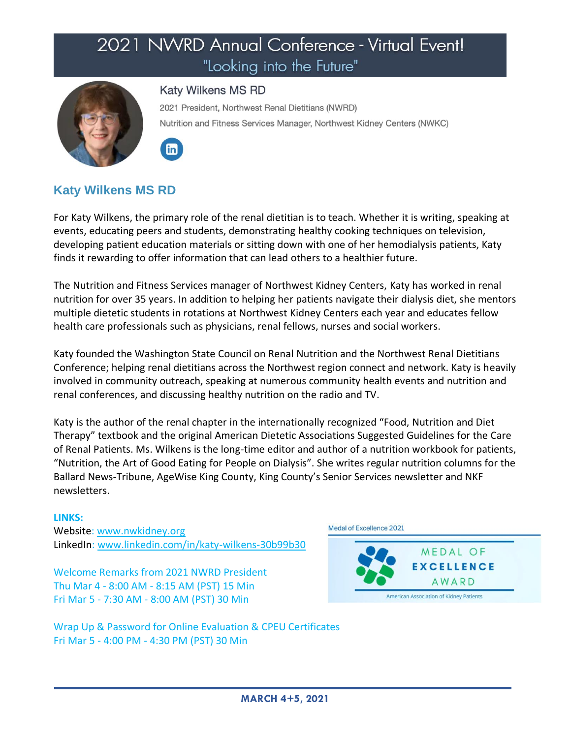

### **Katy Wilkens MS RD**

2021 President, Northwest Renal Dietitians (NWRD) Nutrition and Fitness Services Manager, Northwest Kidney Centers (NWKC)



## **Katy Wilkens MS RD**

For Katy Wilkens, the primary role of the renal dietitian is to teach. Whether it is writing, speaking at events, educating peers and students, demonstrating healthy cooking techniques on television, developing patient education materials or sitting down with one of her hemodialysis patients, Katy finds it rewarding to offer information that can lead others to a healthier future.

The Nutrition and Fitness Services manager of Northwest Kidney Centers, Katy has worked in renal nutrition for over 35 years. In addition to helping her patients navigate their dialysis diet, she mentors multiple dietetic students in rotations at Northwest Kidney Centers each year and educates fellow health care professionals such as physicians, renal fellows, nurses and social workers.

Katy founded the Washington State Council on Renal Nutrition and the Northwest Renal Dietitians Conference; helping renal dietitians across the Northwest region connect and network. Katy is heavily involved in community outreach, speaking at numerous community health events and nutrition and renal conferences, and discussing healthy nutrition on the radio and TV.

Katy is the author of the renal chapter in the internationally recognized "Food, Nutrition and Diet Therapy" textbook and the original American Dietetic Associations Suggested Guidelines for the Care of Renal Patients. Ms. Wilkens is the long-time editor and author of a nutrition workbook for patients, "Nutrition, the Art of Good Eating for People on Dialysis". She writes regular nutrition columns for the Ballard News-Tribune, AgeWise King County, King County's Senior Services newsletter and NKF newsletters.

#### **LINKS:**

Website: [www.nwkidney.org](http://www.nwkidney.org/) LinkedIn: [www.linkedin.com/in/katy-wilkens-30b99b30](http://www.linkedin.com/in/katy-wilkens-30b99b30)

Welcome Remarks from 2021 NWRD President Thu Mar 4 - 8:00 AM - 8:15 AM (PST) 15 Min Fri Mar 5 - 7:30 AM - 8:00 AM (PST) 30 Min





Wrap Up & Password for Online Evaluation & CPEU Certificates Fri Mar 5 - 4:00 PM - 4:30 PM (PST) 30 Min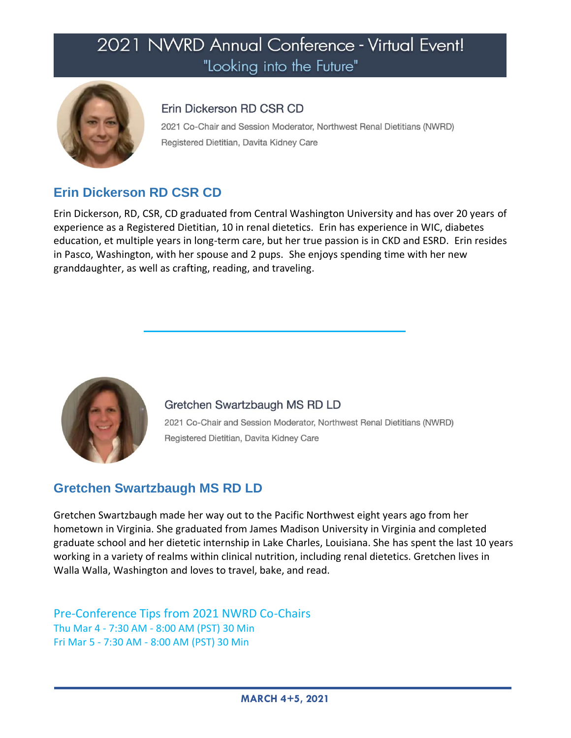

## Erin Dickerson RD CSR CD

2021 Co-Chair and Session Moderator, Northwest Renal Dietitians (NWRD) Registered Dietitian, Davita Kidney Care

# **Erin Dickerson RD CSR CD**

Erin Dickerson, RD, CSR, CD graduated from Central Washington University and has over 20 years of experience as a Registered Dietitian, 10 in renal dietetics. Erin has experience in WIC, diabetes education, et multiple years in long-term care, but her true passion is in CKD and ESRD. Erin resides in Pasco, Washington, with her spouse and 2 pups. She enjoys spending time with her new granddaughter, as well as crafting, reading, and traveling.



Gretchen Swartzbaugh MS RD LD 2021 Co-Chair and Session Moderator, Northwest Renal Dietitians (NWRD) Registered Dietitian, Davita Kidney Care

# **Gretchen Swartzbaugh MS RD LD**

Gretchen Swartzbaugh made her way out to the Pacific Northwest eight years ago from her hometown in Virginia. She graduated from James Madison University in Virginia and completed graduate school and her dietetic internship in Lake Charles, Louisiana. She has spent the last 10 years working in a variety of realms within clinical nutrition, including renal dietetics. Gretchen lives in Walla Walla, Washington and loves to travel, bake, and read.

Pre-Conference Tips from 2021 NWRD Co-Chairs Thu Mar 4 - 7:30 AM - 8:00 AM (PST) 30 Min Fri Mar 5 - 7:30 AM - 8:00 AM (PST) 30 Min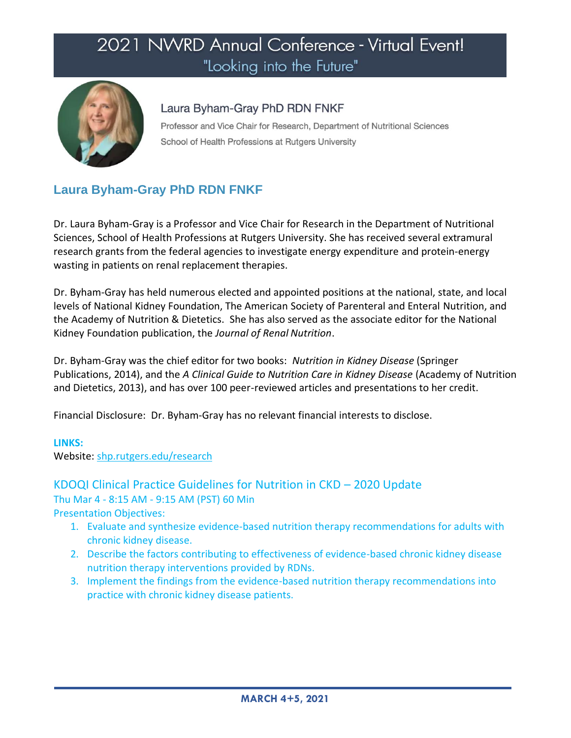

## Laura Byham-Gray PhD RDN FNKF

Professor and Vice Chair for Research, Department of Nutritional Sciences School of Health Professions at Rutgers University

# **Laura Byham-Gray PhD RDN FNKF**

Dr. Laura Byham-Gray is a Professor and Vice Chair for Research in the Department of Nutritional Sciences, School of Health Professions at Rutgers University. She has received several extramural research grants from the federal agencies to investigate energy expenditure and protein-energy wasting in patients on renal replacement therapies.

Dr. Byham-Gray has held numerous elected and appointed positions at the national, state, and local levels of National Kidney Foundation, The American Society of Parenteral and Enteral Nutrition, and the Academy of Nutrition & Dietetics. She has also served as the associate editor for the National Kidney Foundation publication, the *Journal of Renal Nutrition*.

Dr. Byham-Gray was the chief editor for two books: *Nutrition in Kidney Disease* (Springer Publications, 2014), and the *A Clinical Guide to Nutrition Care in Kidney Disease* (Academy of Nutrition and Dietetics, 2013), and has over 100 peer-reviewed articles and presentations to her credit.

Financial Disclosure: Dr. Byham-Gray has no relevant financial interests to disclose.

### **LINKS:**

Website: [shp.rutgers.edu/research](https://shp.rutgers.edu/research)

### KDOQI Clinical Practice Guidelines for Nutrition in CKD – 2020 Update Thu Mar 4 - 8:15 AM - 9:15 AM (PST) 60 Min

- 1. Evaluate and synthesize evidence-based nutrition therapy recommendations for adults with chronic kidney disease.
- 2. Describe the factors contributing to effectiveness of evidence-based chronic kidney disease nutrition therapy interventions provided by RDNs.
- 3. Implement the findings from the evidence-based nutrition therapy recommendations into practice with chronic kidney disease patients.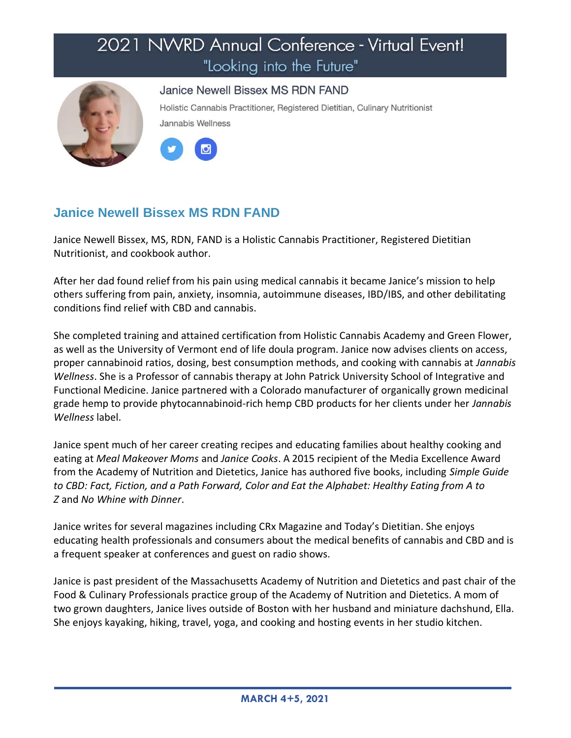

### Janice Newell Bissex MS RDN FAND

Holistic Cannabis Practitioner, Registered Dietitian, Culinary Nutritionist Jannabis Wellness



# **Janice Newell Bissex MS RDN FAND**

Janice Newell Bissex, MS, RDN, FAND is a Holistic Cannabis Practitioner, Registered Dietitian Nutritionist, and cookbook author.

After her dad found relief from his pain using medical cannabis it became Janice's mission to help others suffering from pain, anxiety, insomnia, autoimmune diseases, IBD/IBS, and other debilitating conditions find relief with CBD and cannabis.

She completed training and attained certification from Holistic Cannabis Academy and Green Flower, as well as the University of Vermont end of life doula program. Janice now advises clients on access, proper cannabinoid ratios, dosing, best consumption methods, and cooking with cannabis at *Jannabis Wellness*. She is a Professor of cannabis therapy at John Patrick University School of Integrative and Functional Medicine. Janice partnered with a Colorado manufacturer of organically grown medicinal grade hemp to provide phytocannabinoid-rich hemp CBD products for her clients under her *Jannabis Wellness* label.

Janice spent much of her career creating recipes and educating families about healthy cooking and eating at *Meal Makeover Moms* and *Janice Cooks*. A 2015 recipient of the Media Excellence Award from the Academy of Nutrition and Dietetics, Janice has authored five books, including *Simple Guide to CBD: Fact, Fiction, and a Path Forward, Color and Eat the Alphabet: Healthy Eating from A to Z* and *No Whine with Dinner*.

Janice writes for several magazines including CRx Magazine and Today's Dietitian. She enjoys educating health professionals and consumers about the medical benefits of cannabis and CBD and is a frequent speaker at conferences and guest on radio shows.

Janice is past president of the Massachusetts Academy of Nutrition and Dietetics and past chair of the Food & Culinary Professionals practice group of the Academy of Nutrition and Dietetics. A mom of two grown daughters, Janice lives outside of Boston with her husband and miniature dachshund, Ella. She enjoys kayaking, hiking, travel, yoga, and cooking and hosting events in her studio kitchen.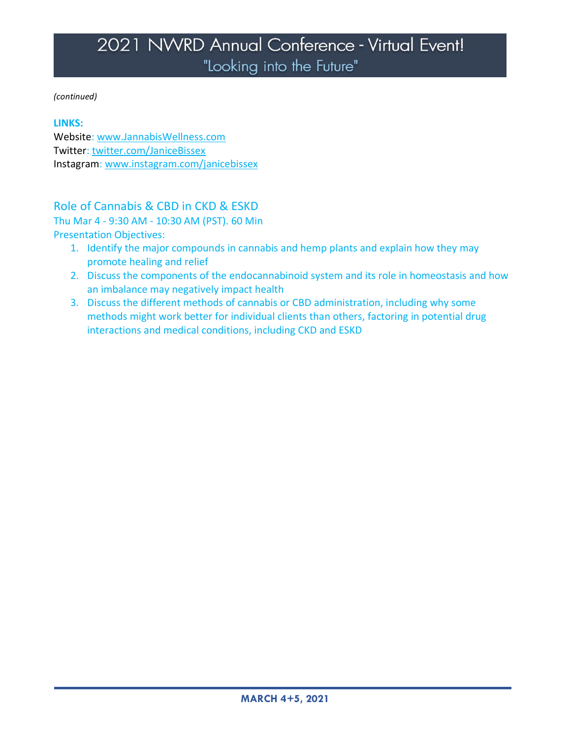*(continued)*

#### **LINKS:**

Website: [www.JannabisWellness.com](http://www.jannabiswellness.com/) Twitter: [twitter.com/JaniceBissex](https://twitter.com/JaniceBissex) Instagram: [www.instagram.com/janicebissex](https://www.instagram.com/janicebissex)

## Role of Cannabis & CBD in CKD & ESKD

Thu Mar 4 - 9:30 AM - 10:30 AM (PST). 60 Min Presentation Objectives:

- 1. Identify the major compounds in cannabis and hemp plants and explain how they may promote healing and relief
- 2. Discuss the components of the endocannabinoid system and its role in homeostasis and how an imbalance may negatively impact health
- 3. Discuss the different methods of cannabis or CBD administration, including why some methods might work better for individual clients than others, factoring in potential drug interactions and medical conditions, including CKD and ESKD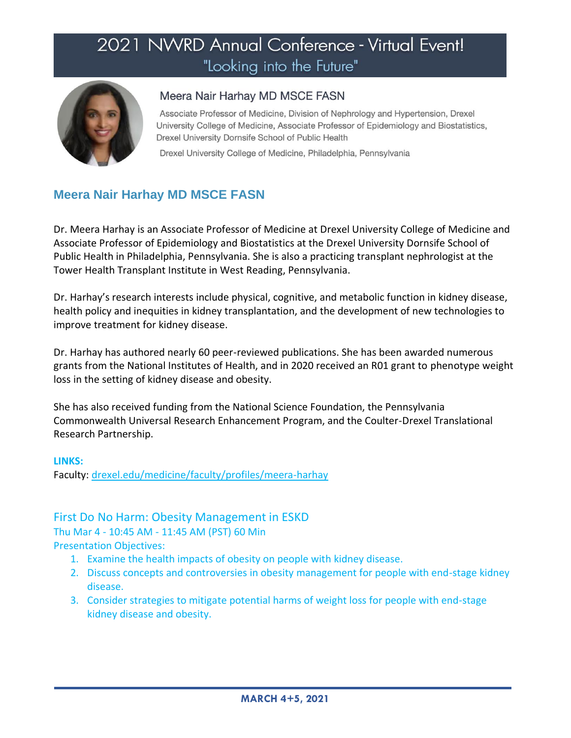

### Meera Nair Harhay MD MSCE FASN

Associate Professor of Medicine, Division of Nephrology and Hypertension, Drexel University College of Medicine, Associate Professor of Epidemiology and Biostatistics, Drexel University Dornsife School of Public Health

Drexel University College of Medicine, Philadelphia, Pennsylvania

# **Meera Nair Harhay MD MSCE FASN**

Dr. Meera Harhay is an Associate Professor of Medicine at Drexel University College of Medicine and Associate Professor of Epidemiology and Biostatistics at the Drexel University Dornsife School of Public Health in Philadelphia, Pennsylvania. She is also a practicing transplant nephrologist at the Tower Health Transplant Institute in West Reading, Pennsylvania.

Dr. Harhay's research interests include physical, cognitive, and metabolic function in kidney disease, health policy and inequities in kidney transplantation, and the development of new technologies to improve treatment for kidney disease.

Dr. Harhay has authored nearly 60 peer-reviewed publications. She has been awarded numerous grants from the National Institutes of Health, and in 2020 received an R01 grant to phenotype weight loss in the setting of kidney disease and obesity.

She has also received funding from the National Science Foundation, the Pennsylvania Commonwealth Universal Research Enhancement Program, and the Coulter-Drexel Translational Research Partnership.

#### **LINKS:**

Faculty: [drexel.edu/medicine/faculty/profiles/meera-harhay](https://drexel.edu/medicine/faculty/profiles/meera-harhay)

### First Do No Harm: Obesity Management in ESKD

Thu Mar 4 - 10:45 AM - 11:45 AM (PST) 60 Min Presentation Objectives:

1. Examine the health impacts of obesity on people with kidney disease.

- 2. Discuss concepts and controversies in obesity management for people with end-stage kidney disease.
- 3. Consider strategies to mitigate potential harms of weight loss for people with end-stage kidney disease and obesity.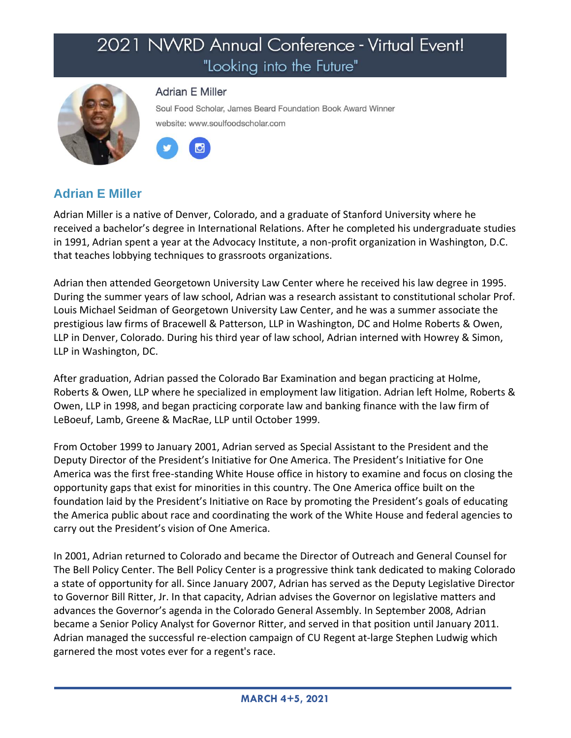

#### **Adrian E Miller**

Soul Food Scholar, James Beard Foundation Book Award Winner website: www.soulfoodscholar.com



## **Adrian E Miller**

Adrian Miller is a native of Denver, Colorado, and a graduate of Stanford University where he received a bachelor's degree in International Relations. After he completed his undergraduate studies in 1991, Adrian spent a year at the Advocacy Institute, a non-profit organization in Washington, D.C. that teaches lobbying techniques to grassroots organizations.

Adrian then attended Georgetown University Law Center where he received his law degree in 1995. During the summer years of law school, Adrian was a research assistant to constitutional scholar Prof. Louis Michael Seidman of Georgetown University Law Center, and he was a summer associate the prestigious law firms of Bracewell & Patterson, LLP in Washington, DC and Holme Roberts & Owen, LLP in Denver, Colorado. During his third year of law school, Adrian interned with Howrey & Simon, LLP in Washington, DC.

After graduation, Adrian passed the Colorado Bar Examination and began practicing at Holme, Roberts & Owen, LLP where he specialized in employment law litigation. Adrian left Holme, Roberts & Owen, LLP in 1998, and began practicing corporate law and banking finance with the law firm of LeBoeuf, Lamb, Greene & MacRae, LLP until October 1999.

From October 1999 to January 2001, Adrian served as Special Assistant to the President and the Deputy Director of the President's Initiative for One America. The President's Initiative for One America was the first free-standing White House office in history to examine and focus on closing the opportunity gaps that exist for minorities in this country. The One America office built on the foundation laid by the President's Initiative on Race by promoting the President's goals of educating the America public about race and coordinating the work of the White House and federal agencies to carry out the President's vision of One America.

In 2001, Adrian returned to Colorado and became the Director of Outreach and General Counsel for The Bell Policy Center. The Bell Policy Center is a progressive think tank dedicated to making Colorado a state of opportunity for all. Since January 2007, Adrian has served as the Deputy Legislative Director to Governor Bill Ritter, Jr. In that capacity, Adrian advises the Governor on legislative matters and advances the Governor's agenda in the Colorado General Assembly. In September 2008, Adrian became a Senior Policy Analyst for Governor Ritter, and served in that position until January 2011. Adrian managed the successful re-election campaign of CU Regent at-large Stephen Ludwig which garnered the most votes ever for a regent's race.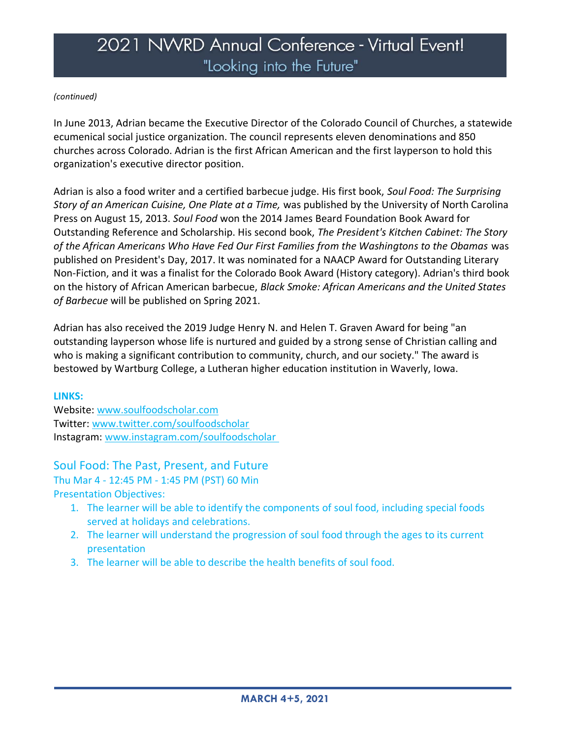#### *(continued)*

In June 2013, Adrian became the Executive Director of the Colorado Council of Churches, a statewide ecumenical social justice organization. The council represents eleven denominations and 850 churches across Colorado. Adrian is the first African American and the first layperson to hold this organization's executive director position.

Adrian is also a food writer and a certified barbecue judge. His first book, *Soul Food: The Surprising Story of an American Cuisine, One Plate at a Time,* was published by the University of North Carolina Press on August 15, 2013. *Soul Food* won the 2014 James Beard Foundation Book Award for Outstanding Reference and Scholarship. His second book, *The President's Kitchen Cabinet: The Story of the African Americans Who Have Fed Our First Families from the Washingtons to the Obamas* was published on President's Day, 2017. It was nominated for a NAACP Award for Outstanding Literary Non-Fiction, and it was a finalist for the Colorado Book Award (History category). Adrian's third book on the history of African American barbecue, *Black Smoke: African Americans and the United States of Barbecue* will be published on Spring 2021.

Adrian has also received the 2019 Judge Henry N. and Helen T. Graven Award for being "an outstanding layperson whose life is nurtured and guided by a strong sense of Christian calling and who is making a significant contribution to community, church, and our society." The award is bestowed by Wartburg College, a Lutheran higher education institution in Waverly, Iowa.

#### **LINKS:**

Website: [www.soulfoodscholar.com](http://www.soulfoodscholar.com/) Twitter: [www.twitter.com/soulfoodscholar](https://www.twitter.com/soulfoodscholar) Instagram: [www.instagram.com/soulfoodscholar](http://www.instagram.com/soulfoodscholar)

### Soul Food: The Past, Present, and Future

Thu Mar 4 - 12:45 PM - 1:45 PM (PST) 60 Min Presentation Objectives:

- 1. The learner will be able to identify the components of soul food, including special foods served at holidays and celebrations.
- 2. The learner will understand the progression of soul food through the ages to its current presentation
- 3. The learner will be able to describe the health benefits of soul food.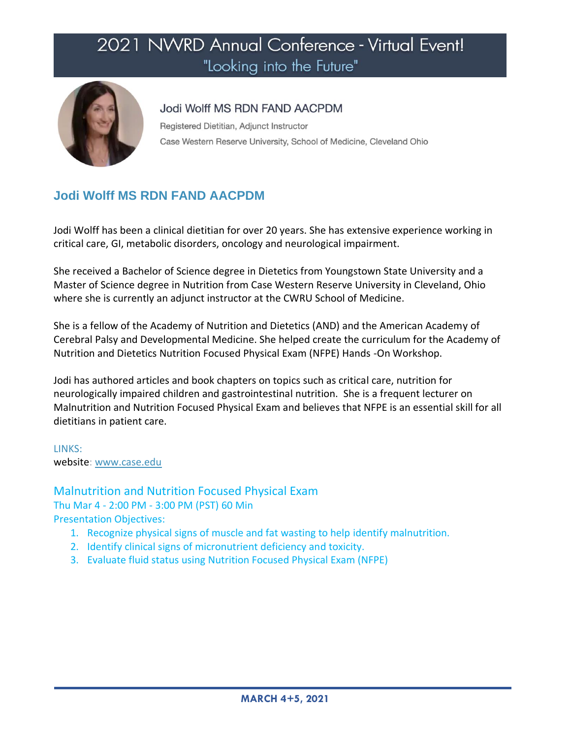

### Jodi Wolff MS RDN FAND AACPDM

Registered Dietitian, Adjunct Instructor Case Western Reserve University, School of Medicine, Cleveland Ohio

# **Jodi Wolff MS RDN FAND AACPDM**

Jodi Wolff has been a clinical dietitian for over 20 years. She has extensive experience working in critical care, GI, metabolic disorders, oncology and neurological impairment.

She received a Bachelor of Science degree in Dietetics from Youngstown State University and a Master of Science degree in Nutrition from Case Western Reserve University in Cleveland, Ohio where she is currently an adjunct instructor at the CWRU School of Medicine.

She is a fellow of the Academy of Nutrition and Dietetics (AND) and the American Academy of Cerebral Palsy and Developmental Medicine. She helped create the curriculum for the Academy of Nutrition and Dietetics Nutrition Focused Physical Exam (NFPE) Hands -On Workshop.

Jodi has authored articles and book chapters on topics such as critical care, nutrition for neurologically impaired children and gastrointestinal nutrition. She is a frequent lecturer on Malnutrition and Nutrition Focused Physical Exam and believes that NFPE is an essential skill for all dietitians in patient care.

LINKS: website: [www.case.edu](http://www.case.edu/)

### Malnutrition and Nutrition Focused Physical Exam

Thu Mar 4 - 2:00 PM - 3:00 PM (PST) 60 Min Presentation Objectives:

- 1. Recognize physical signs of muscle and fat wasting to help identify malnutrition.
- 2. Identify clinical signs of micronutrient deficiency and toxicity.
- 3. Evaluate fluid status using Nutrition Focused Physical Exam (NFPE)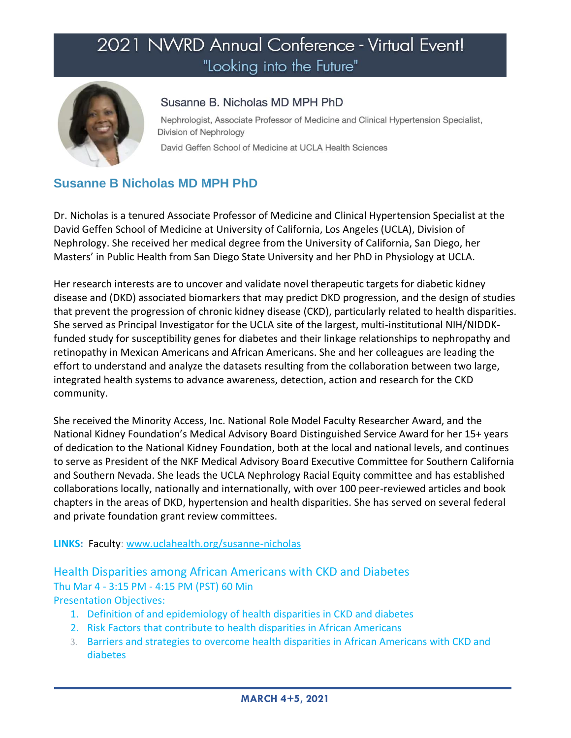

## Susanne B. Nicholas MD MPH PhD

Nephrologist, Associate Professor of Medicine and Clinical Hypertension Specialist, Division of Nephrology

David Geffen School of Medicine at UCLA Health Sciences

# **Susanne B Nicholas MD MPH PhD**

Dr. Nicholas is a tenured Associate Professor of Medicine and Clinical Hypertension Specialist at the David Geffen School of Medicine at University of California, Los Angeles (UCLA), Division of Nephrology. She received her medical degree from the University of California, San Diego, her Masters' in Public Health from San Diego State University and her PhD in Physiology at UCLA.

Her research interests are to uncover and validate novel therapeutic targets for diabetic kidney disease and (DKD) associated biomarkers that may predict DKD progression, and the design of studies that prevent the progression of chronic kidney disease (CKD), particularly related to health disparities. She served as Principal Investigator for the UCLA site of the largest, multi-institutional NIH/NIDDKfunded study for susceptibility genes for diabetes and their linkage relationships to nephropathy and retinopathy in Mexican Americans and African Americans. She and her colleagues are leading the effort to understand and analyze the datasets resulting from the collaboration between two large, integrated health systems to advance awareness, detection, action and research for the CKD community.

She received the Minority Access, Inc. National Role Model Faculty Researcher Award, and the National Kidney Foundation's Medical Advisory Board Distinguished Service Award for her 15+ years of dedication to the National Kidney Foundation, both at the local and national levels, and continues to serve as President of the NKF Medical Advisory Board Executive Committee for Southern California and Southern Nevada. She leads the UCLA Nephrology Racial Equity committee and has established collaborations locally, nationally and internationally, with over 100 peer-reviewed articles and book chapters in the areas of DKD, hypertension and health disparities. She has served on several federal and private foundation grant review committees.

### **LINKS:** Faculty: [www.uclahealth.org/susanne-nicholas](http://www.uclahealth.org/susanne-nicholas)

Health Disparities among African Americans with CKD and Diabetes Thu Mar 4 - 3:15 PM - 4:15 PM (PST) 60 Min Presentation Objectives:

- 1. Definition of and epidemiology of health disparities in CKD and diabetes
- 2. Risk Factors that contribute to health disparities in African Americans
- 3. Barriers and strategies to overcome health disparities in African Americans with CKD and diabetes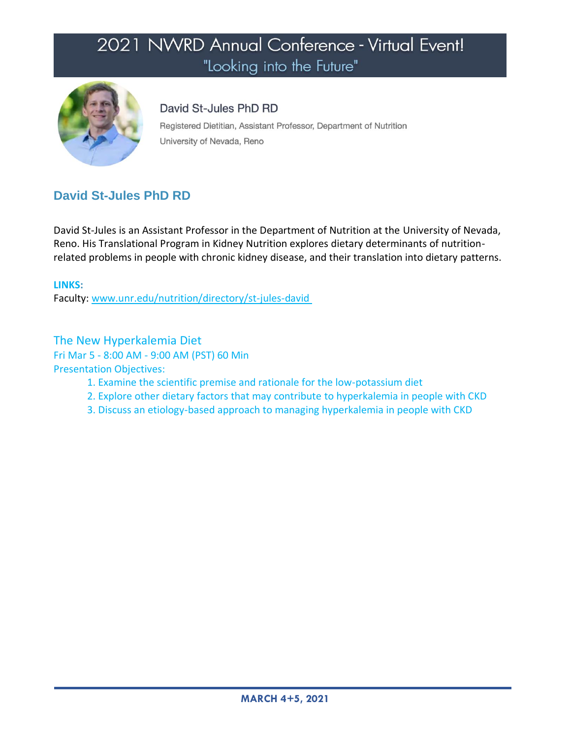

## David St-Jules PhD RD

Registered Dietitian, Assistant Professor, Department of Nutrition University of Nevada, Reno

# **David St-Jules PhD RD**

David St-Jules is an Assistant Professor in the Department of Nutrition at the University of Nevada, Reno. His Translational Program in Kidney Nutrition explores dietary determinants of nutritionrelated problems in people with chronic kidney disease, and their translation into dietary patterns.

**LINKS:**  Faculty: [www.unr.edu/nutrition/directory/st-jules-david](http://www.unr.edu/nutrition/directory/st-jules-david)

# The New Hyperkalemia Diet

Fri Mar 5 - 8:00 AM - 9:00 AM (PST) 60 Min

- 1. Examine the scientific premise and rationale for the low-potassium diet
- 2. Explore other dietary factors that may contribute to hyperkalemia in people with CKD
- 3. Discuss an etiology-based approach to managing hyperkalemia in people with CKD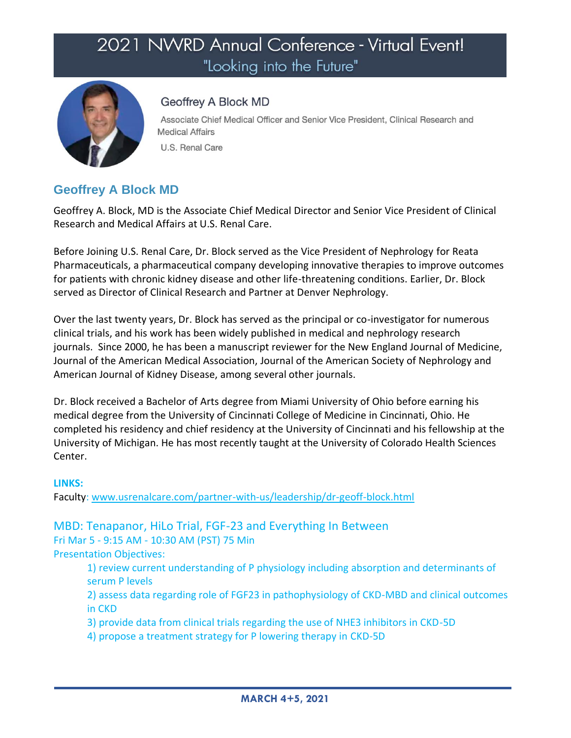

## Geoffrey A Block MD

Associate Chief Medical Officer and Senior Vice President, Clinical Research and **Medical Affairs** 

U.S. Renal Care

# **Geoffrey A Block MD**

Geoffrey A. Block, MD is the Associate Chief Medical Director and Senior Vice President of Clinical Research and Medical Affairs at U.S. Renal Care.

Before Joining U.S. Renal Care, Dr. Block served as the Vice President of Nephrology for Reata Pharmaceuticals, a pharmaceutical company developing innovative therapies to improve outcomes for patients with chronic kidney disease and other life-threatening conditions. Earlier, Dr. Block served as Director of Clinical Research and Partner at Denver Nephrology.

Over the last twenty years, Dr. Block has served as the principal or co-investigator for numerous clinical trials, and his work has been widely published in medical and nephrology research journals. Since 2000, he has been a manuscript reviewer for the New England Journal of Medicine, Journal of the American Medical Association, Journal of the American Society of Nephrology and American Journal of Kidney Disease, among several other journals.

Dr. Block received a Bachelor of Arts degree from Miami University of Ohio before earning his medical degree from the University of Cincinnati College of Medicine in Cincinnati, Ohio. He completed his residency and chief residency at the University of Cincinnati and his fellowship at the University of Michigan. He has most recently taught at the University of Colorado Health Sciences Center.

#### **LINKS:**

Faculty: [www.usrenalcare.com/partner-with-us/leadership/dr-geoff-block.html](https://www.usrenalcare.com/partner-with-us/leadership/dr-geoff-block.html)

MBD: Tenapanor, HiLo Trial, FGF-23 and Everything In Between Fri Mar 5 - 9:15 AM - 10:30 AM (PST) 75 Min Presentation Objectives:

1) review current understanding of P physiology including absorption and determinants of serum P levels

2) assess data regarding role of FGF23 in pathophysiology of CKD-MBD and clinical outcomes in CKD

3) provide data from clinical trials regarding the use of NHE3 inhibitors in CKD-5D

4) propose a treatment strategy for P lowering therapy in CKD-5D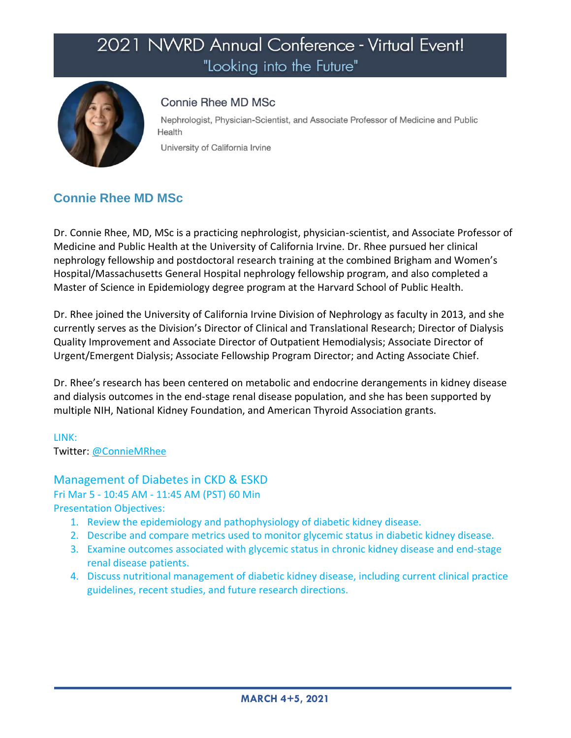

### Connie Rhee MD MSc

Nephrologist, Physician-Scientist, and Associate Professor of Medicine and Public Health

University of California Irvine

# **Connie Rhee MD MSc**

Dr. Connie Rhee, MD, MSc is a practicing nephrologist, physician-scientist, and Associate Professor of Medicine and Public Health at the University of California Irvine. Dr. Rhee pursued her clinical nephrology fellowship and postdoctoral research training at the combined Brigham and Women's Hospital/Massachusetts General Hospital nephrology fellowship program, and also completed a Master of Science in Epidemiology degree program at the Harvard School of Public Health.

Dr. Rhee joined the University of California Irvine Division of Nephrology as faculty in 2013, and she currently serves as the Division's Director of Clinical and Translational Research; Director of Dialysis Quality Improvement and Associate Director of Outpatient Hemodialysis; Associate Director of Urgent/Emergent Dialysis; Associate Fellowship Program Director; and Acting Associate Chief.

Dr. Rhee's research has been centered on metabolic and endocrine derangements in kidney disease and dialysis outcomes in the end-stage renal disease population, and she has been supported by multiple NIH, National Kidney Foundation, and American Thyroid Association grants.

#### LINK: Twitter: [@ConnieMRhee](https://twitter.com/ConnieMRhee)

# Management of Diabetes in CKD & ESKD

Fri Mar 5 - 10:45 AM - 11:45 AM (PST) 60 Min

- 1. Review the epidemiology and pathophysiology of diabetic kidney disease.
- 2. Describe and compare metrics used to monitor glycemic status in diabetic kidney disease.
- 3. Examine outcomes associated with glycemic status in chronic kidney disease and end-stage renal disease patients.
- 4. Discuss nutritional management of diabetic kidney disease, including current clinical practice guidelines, recent studies, and future research directions.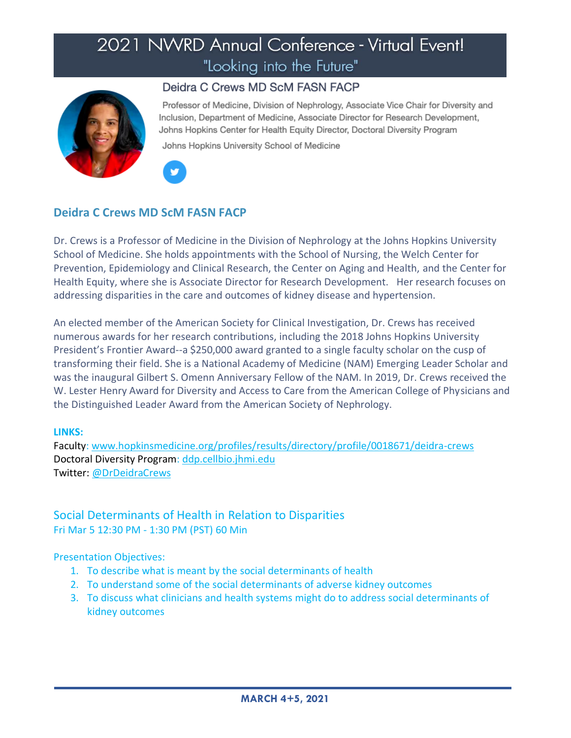

## Deidra C Crews MD ScM FASN FACP

Professor of Medicine, Division of Nephrology, Associate Vice Chair for Diversity and Inclusion, Department of Medicine, Associate Director for Research Development, Johns Hopkins Center for Health Equity Director, Doctoral Diversity Program

Johns Hopkins University School of Medicine



## **Deidra C Crews MD ScM FASN FACP**

Dr. Crews is a Professor of Medicine in the Division of Nephrology at the Johns Hopkins University School of Medicine. She holds appointments with the School of Nursing, the Welch Center for Prevention, Epidemiology and Clinical Research, the Center on Aging and Health, and the Center for Health Equity, where she is Associate Director for Research Development. Her research focuses on addressing disparities in the care and outcomes of kidney disease and hypertension.

An elected member of the American Society for Clinical Investigation, Dr. Crews has received numerous awards for her research contributions, including the 2018 Johns Hopkins University President's Frontier Award--a \$250,000 award granted to a single faculty scholar on the cusp of transforming their field. She is a National Academy of Medicine (NAM) Emerging Leader Scholar and was the inaugural Gilbert S. Omenn Anniversary Fellow of the NAM. In 2019, Dr. Crews received the W. Lester Henry Award for Diversity and Access to Care from the American College of Physicians and the Distinguished Leader Award from the American Society of Nephrology.

#### **LINKS:**

Faculty: [www.hopkinsmedicine.org/profiles/results/directory/profile/0018671/deidra-crews](http://www.hopkinsmedicine.org/profiles/results/directory/profile/0018671/deidra-crews) Doctoral Diversity Program: [ddp.cellbio.jhmi.edu](https://ddp.cellbio.jhmi.edu/) Twitter: [@DrDeidraCrews](https://twitter.com/DrDeidraCrews)

## Social Determinants of Health in Relation to Disparities Fri Mar 5 12:30 PM - 1:30 PM (PST) 60 Min

- 1. To describe what is meant by the social determinants of health
- 2. To understand some of the social determinants of adverse kidney outcomes
- 3. To discuss what clinicians and health systems might do to address social determinants of kidney outcomes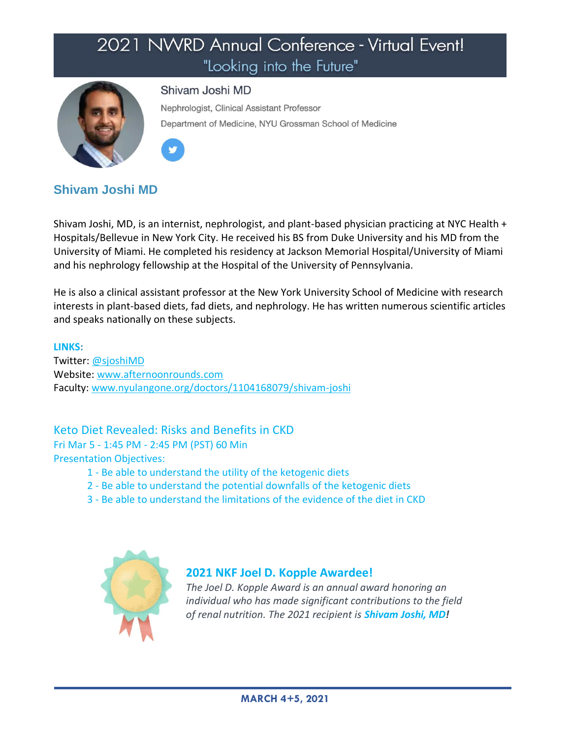

### Shivam Joshi MD

Nephrologist, Clinical Assistant Professor Department of Medicine, NYU Grossman School of Medicine



## **Shivam Joshi MD**

Shivam Joshi, MD, is an internist, nephrologist, and plant-based physician practicing at NYC Health + Hospitals/Bellevue in New York City. He received his BS from Duke University and his MD from the University of Miami. He completed his residency at Jackson Memorial Hospital/University of Miami and his nephrology fellowship at the Hospital of the University of Pennsylvania.

He is also a clinical assistant professor at the New York University School of Medicine with research interests in plant-based diets, fad diets, and nephrology. He has written numerous scientific articles and speaks nationally on these subjects.

#### **LINKS:**

Twitter: [@sjoshiMD](http://www.twitter.com/sjoshiMD) Website: [www.afternoonrounds.com](http://www.afternoonrounds.com/) Faculty: [www.nyulangone.org/doctors/1104168079/shivam-joshi](http://www.nyulangone.org/doctors/1104168079/shivam-joshi)

Keto Diet Revealed: Risks and Benefits in CKD

Fri Mar 5 - 1:45 PM - 2:45 PM (PST) 60 Min Presentation Objectives:

- 1 Be able to understand the utility of the ketogenic diets
- 2 Be able to understand the potential downfalls of the ketogenic diets
- 3 Be able to understand the limitations of the evidence of the diet in CKD



### **2021 NKF Joel D. Kopple Awardee!**

*The Joel D. Kopple Award is an annual award honoring an individual who has made significant contributions to the field of renal nutrition. The 2021 recipient is Shivam Joshi, MD!*